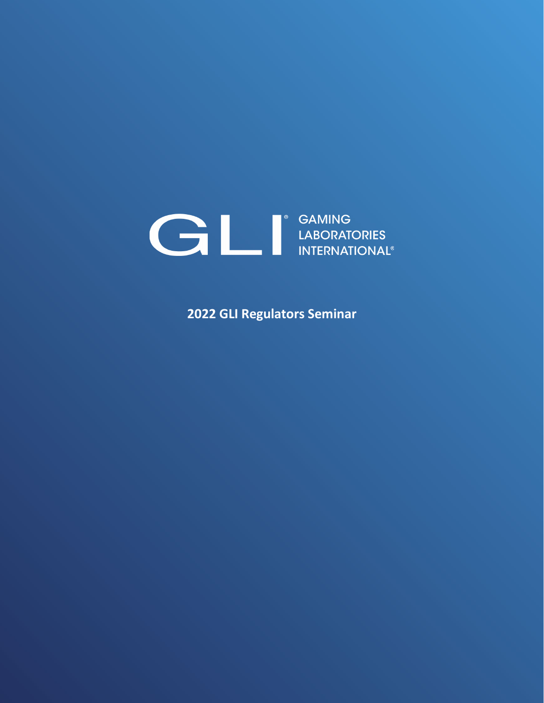# SAMING<br>LABORATORIES<br>INTERNATIONAL®

**2022 GLI Regulators Seminar**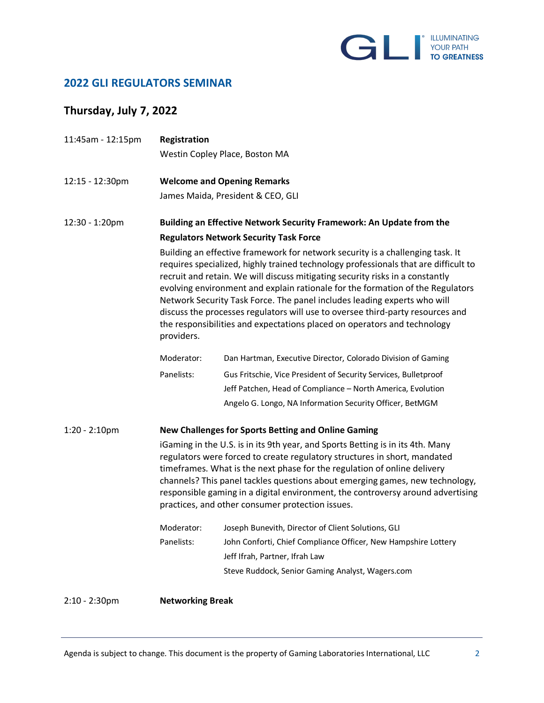

### **2022 GLI REGULATORS SEMINAR**

# **Thursday, July 7, 2022**

| 11:45am - 12:15pm | Registration                                                                                                                                                                                                                                                                                                                                                                                                                                                                                                                                                                                     |                                                                 |  |
|-------------------|--------------------------------------------------------------------------------------------------------------------------------------------------------------------------------------------------------------------------------------------------------------------------------------------------------------------------------------------------------------------------------------------------------------------------------------------------------------------------------------------------------------------------------------------------------------------------------------------------|-----------------------------------------------------------------|--|
|                   |                                                                                                                                                                                                                                                                                                                                                                                                                                                                                                                                                                                                  | Westin Copley Place, Boston MA                                  |  |
| 12:15 - 12:30pm   | <b>Welcome and Opening Remarks</b>                                                                                                                                                                                                                                                                                                                                                                                                                                                                                                                                                               |                                                                 |  |
|                   | James Maida, President & CEO, GLI                                                                                                                                                                                                                                                                                                                                                                                                                                                                                                                                                                |                                                                 |  |
| 12:30 - 1:20pm    | Building an Effective Network Security Framework: An Update from the                                                                                                                                                                                                                                                                                                                                                                                                                                                                                                                             |                                                                 |  |
|                   | <b>Regulators Network Security Task Force</b>                                                                                                                                                                                                                                                                                                                                                                                                                                                                                                                                                    |                                                                 |  |
|                   | Building an effective framework for network security is a challenging task. It<br>requires specialized, highly trained technology professionals that are difficult to<br>recruit and retain. We will discuss mitigating security risks in a constantly<br>evolving environment and explain rationale for the formation of the Regulators<br>Network Security Task Force. The panel includes leading experts who will<br>discuss the processes regulators will use to oversee third-party resources and<br>the responsibilities and expectations placed on operators and technology<br>providers. |                                                                 |  |
|                   | Moderator:                                                                                                                                                                                                                                                                                                                                                                                                                                                                                                                                                                                       | Dan Hartman, Executive Director, Colorado Division of Gaming    |  |
|                   | Panelists:                                                                                                                                                                                                                                                                                                                                                                                                                                                                                                                                                                                       | Gus Fritschie, Vice President of Security Services, Bulletproof |  |
|                   |                                                                                                                                                                                                                                                                                                                                                                                                                                                                                                                                                                                                  | Jeff Patchen, Head of Compliance - North America, Evolution     |  |
|                   |                                                                                                                                                                                                                                                                                                                                                                                                                                                                                                                                                                                                  | Angelo G. Longo, NA Information Security Officer, BetMGM        |  |
| $1:20 - 2:10$ pm  | New Challenges for Sports Betting and Online Gaming                                                                                                                                                                                                                                                                                                                                                                                                                                                                                                                                              |                                                                 |  |
|                   | iGaming in the U.S. is in its 9th year, and Sports Betting is in its 4th. Many<br>regulators were forced to create regulatory structures in short, mandated<br>timeframes. What is the next phase for the regulation of online delivery<br>channels? This panel tackles questions about emerging games, new technology,<br>responsible gaming in a digital environment, the controversy around advertising<br>practices, and other consumer protection issues.                                                                                                                                   |                                                                 |  |
|                   | Moderator:                                                                                                                                                                                                                                                                                                                                                                                                                                                                                                                                                                                       | Joseph Bunevith, Director of Client Solutions, GLI              |  |
|                   | Panelists:                                                                                                                                                                                                                                                                                                                                                                                                                                                                                                                                                                                       | John Conforti, Chief Compliance Officer, New Hampshire Lottery  |  |
|                   |                                                                                                                                                                                                                                                                                                                                                                                                                                                                                                                                                                                                  | Jeff Ifrah, Partner, Ifrah Law                                  |  |
|                   |                                                                                                                                                                                                                                                                                                                                                                                                                                                                                                                                                                                                  | Steve Ruddock, Senior Gaming Analyst, Wagers.com                |  |
| $2:10 - 2:30$ pm  | <b>Networking Break</b>                                                                                                                                                                                                                                                                                                                                                                                                                                                                                                                                                                          |                                                                 |  |